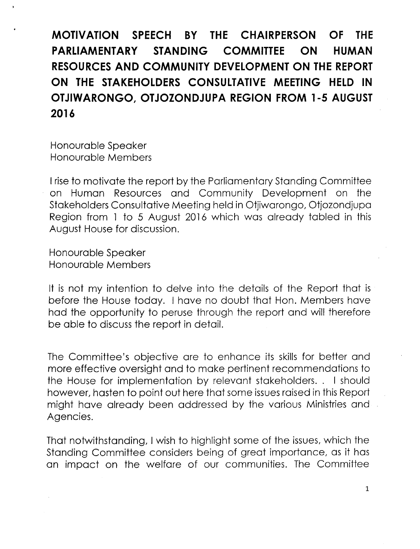**MOTIVATION SPEECH BY THE CHAIRPERSON OF THE PARLIAMENTARY STANDING COMMITTEE ON HUMAN RESOURCES AND COMMUNITY DEVELOPMENT ON THE REPORT ON THE STAKEHOLDERS CONSULTATIVE MEETING HELD IN OTJIWARONGO, OTJOZONDJUPA REGION FROM 1-5 AUGUST 2016**

Honourable Speaker Honourable Members

I rise to motivate the report by the Parliamentary Standing Committee on Human Resources and Community Development on the Stakeholders Consultative Meeting held in Otjiwarongo, Otjozondjupa Region from 1 to 5 August 2016 which was already tabled in this August House for discussion.

Honourable Speaker Honourable Members

It is not my intention to delve into the details of the Report that is before the House today. I have no doubt that Hon. Members have had the opportunity to peruse through the report and will therefore be able to discuss the report in detail.

The Committee's objective are to enhance its skills for better and more effective oversight and to make pertinent recommendations to the House for implementation by relevant stakeholders.. I should however, hasten to point out here that some issues raised in this Report might have already been addressed by the various Ministries and Agencies.

That notwithstanding, I wish to highlight some of the issues, which the Standing Committee considers being of great importance, as it has an impact on the welfare of our communities. The Committee

1